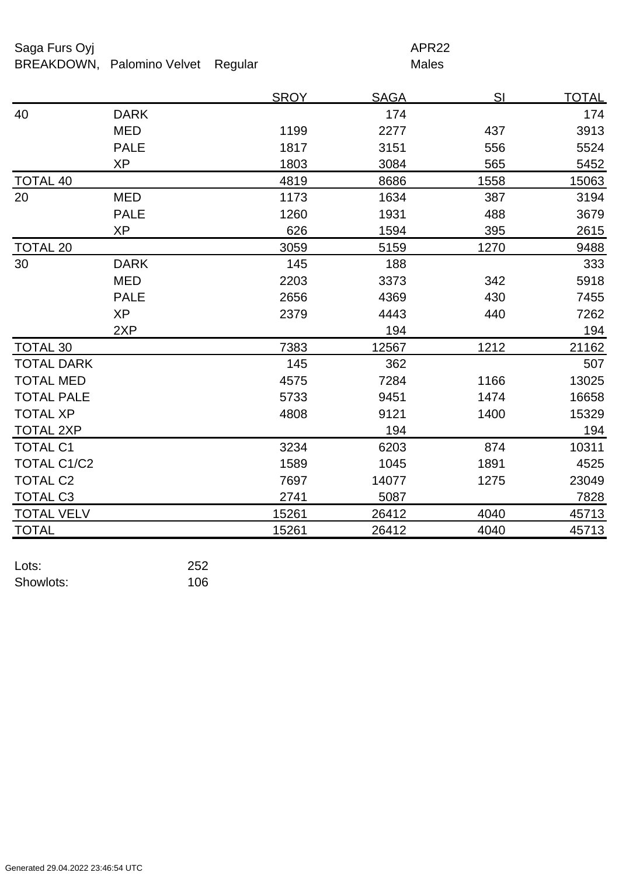## Saga Furs Oyj and the Saga Furs Oyj

BREAKDOWN, Palomino Velvet Regular Males

|                    |             | <b>SROY</b> | <b>SAGA</b> | SI   | <u>TOTAL</u> |
|--------------------|-------------|-------------|-------------|------|--------------|
| 40                 | <b>DARK</b> |             | 174         |      | 174          |
|                    | <b>MED</b>  | 1199        | 2277        | 437  | 3913         |
|                    | <b>PALE</b> | 1817        | 3151        | 556  | 5524         |
|                    | <b>XP</b>   | 1803        | 3084        | 565  | 5452         |
| <b>TOTAL 40</b>    |             | 4819        | 8686        | 1558 | 15063        |
| 20                 | <b>MED</b>  | 1173        | 1634        | 387  | 3194         |
|                    | <b>PALE</b> | 1260        | 1931        | 488  | 3679         |
|                    | <b>XP</b>   | 626         | 1594        | 395  | 2615         |
| <b>TOTAL 20</b>    |             | 3059        | 5159        | 1270 | 9488         |
| 30                 | <b>DARK</b> | 145         | 188         |      | 333          |
|                    | <b>MED</b>  | 2203        | 3373        | 342  | 5918         |
|                    | <b>PALE</b> | 2656        | 4369        | 430  | 7455         |
|                    | <b>XP</b>   | 2379        | 4443        | 440  | 7262         |
|                    | 2XP         |             | 194         |      | 194          |
| <b>TOTAL 30</b>    |             | 7383        | 12567       | 1212 | 21162        |
| <b>TOTAL DARK</b>  |             | 145         | 362         |      | 507          |
| <b>TOTAL MED</b>   |             | 4575        | 7284        | 1166 | 13025        |
| <b>TOTAL PALE</b>  |             | 5733        | 9451        | 1474 | 16658        |
| <b>TOTAL XP</b>    |             | 4808        | 9121        | 1400 | 15329        |
| <b>TOTAL 2XP</b>   |             |             | 194         |      | 194          |
| <b>TOTAL C1</b>    |             | 3234        | 6203        | 874  | 10311        |
| <b>TOTAL C1/C2</b> |             | 1589        | 1045        | 1891 | 4525         |
| <b>TOTAL C2</b>    |             | 7697        | 14077       | 1275 | 23049        |
| <b>TOTAL C3</b>    |             | 2741        | 5087        |      | 7828         |
| <b>TOTAL VELV</b>  |             | 15261       | 26412       | 4040 | 45713        |
| <b>TOTAL</b>       |             | 15261       | 26412       | 4040 | 45713        |

| Lots:     | 252 |
|-----------|-----|
| Showlots: | 106 |